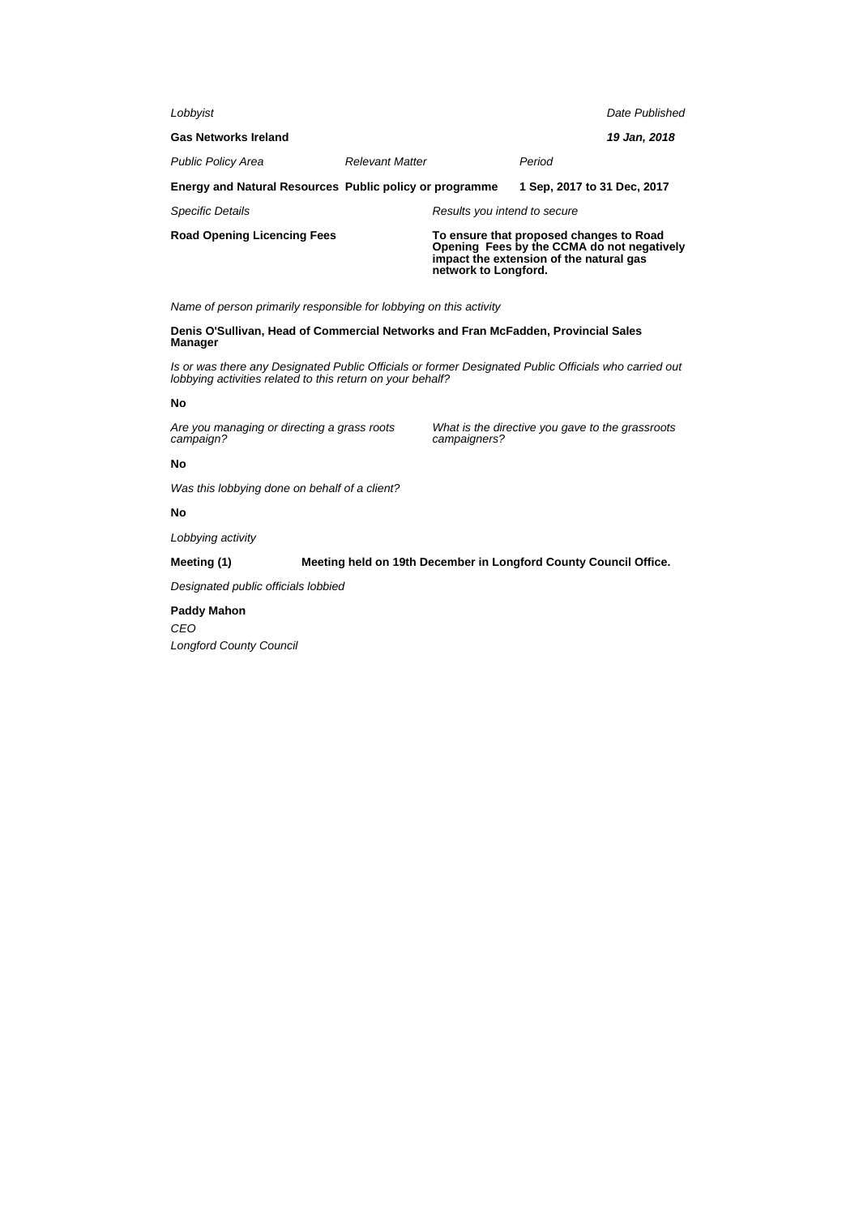| Lobbyist                                                       |                        |                              |                                                                                                                                  | Date Published |
|----------------------------------------------------------------|------------------------|------------------------------|----------------------------------------------------------------------------------------------------------------------------------|----------------|
| <b>Gas Networks Ireland</b>                                    |                        |                              |                                                                                                                                  | 19 Jan, 2018   |
| <b>Public Policy Area</b>                                      | <b>Relevant Matter</b> |                              | Period                                                                                                                           |                |
| <b>Energy and Natural Resources Public policy or programme</b> |                        |                              | 1 Sep. 2017 to 31 Dec. 2017                                                                                                      |                |
| <b>Specific Details</b>                                        |                        | Results you intend to secure |                                                                                                                                  |                |
| Road Opening Licencing Fees                                    |                        | network to Longford.         | To ensure that proposed changes to Road<br>Opening Fees by the CCMA do not negatively<br>impact the extension of the natural gas |                |

Name of person primarily responsible for lobbying on this activity

**Denis O'Sullivan, Head of Commercial Networks and Fran McFadden, Provincial Sales Manager**

Is or was there any Designated Public Officials or former Designated Public Officials who carried out lobbying activities related to this return on your behalf?

## **No**

Are you managing or directing a grass roots campaign?

What is the directive you gave to the grassroots campaigners?

### **No**

Was this lobbying done on behalf of a client?

# **No**

Lobbying activity

### **Meeting (1) Meeting held on 19th December in Longford County Council Office.**

Designated public officials lobbied

# **Paddy Mahon**

**CEO** Longford County Council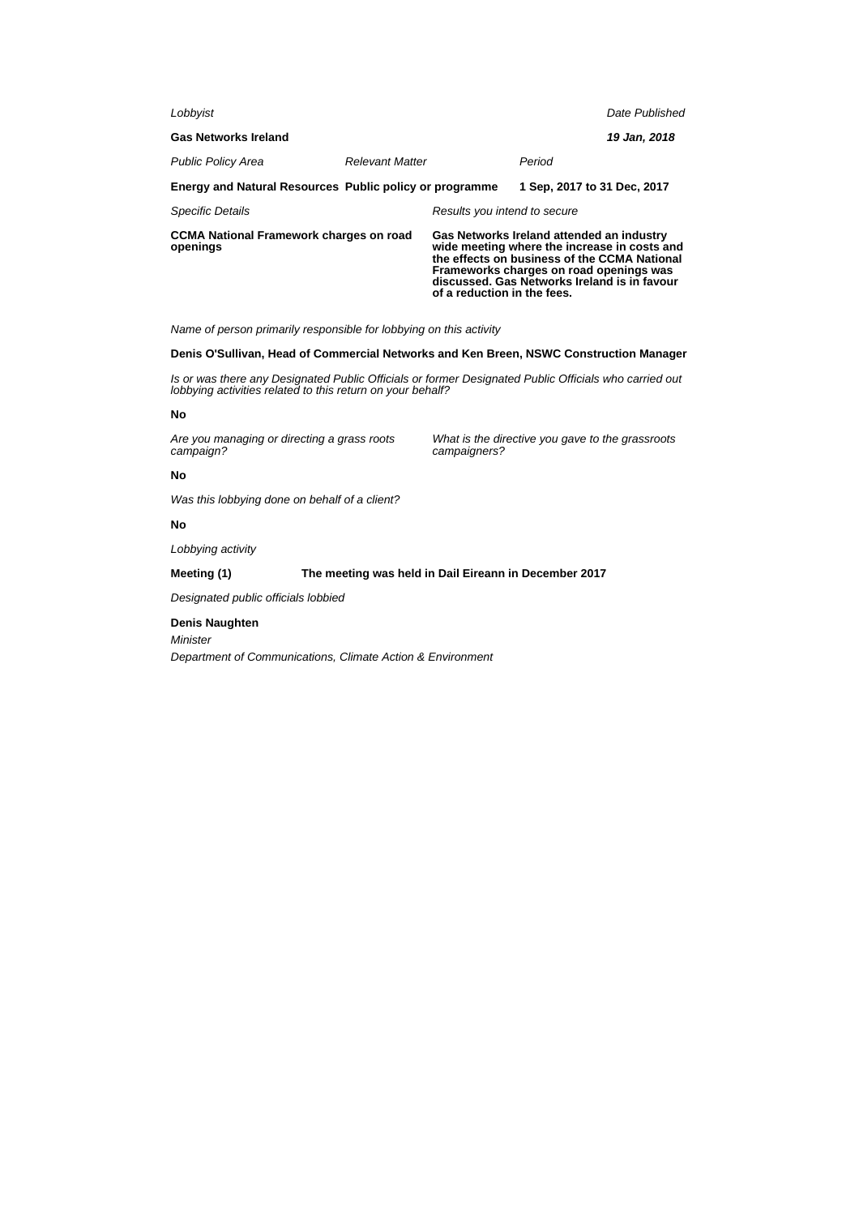| Lobbyist                                                   |                        |                                                                                                                                                                                                                                                                     |                             | Date Published |
|------------------------------------------------------------|------------------------|---------------------------------------------------------------------------------------------------------------------------------------------------------------------------------------------------------------------------------------------------------------------|-----------------------------|----------------|
| <b>Gas Networks Ireland</b>                                |                        |                                                                                                                                                                                                                                                                     |                             | 19 Jan, 2018   |
| <b>Public Policy Area</b>                                  | <b>Relevant Matter</b> |                                                                                                                                                                                                                                                                     | Period                      |                |
| Energy and Natural Resources Public policy or programme    |                        |                                                                                                                                                                                                                                                                     | 1 Sep. 2017 to 31 Dec. 2017 |                |
| <b>Specific Details</b>                                    |                        | Results you intend to secure                                                                                                                                                                                                                                        |                             |                |
| <b>CCMA National Framework charges on road</b><br>openings |                        | Gas Networks Ireland attended an industry<br>wide meeting where the increase in costs and<br>the effects on business of the CCMA National<br>Frameworks charges on road openings was<br>discussed. Gas Networks Ireland is in favour<br>of a reduction in the fees. |                             |                |

Name of person primarily responsible for lobbying on this activity

### **Denis O'Sullivan, Head of Commercial Networks and Ken Breen, NSWC Construction Manager**

Is or was there any Designated Public Officials or former Designated Public Officials who carried out lobbying activities related to this return on your behalf?

### **No**

Are you managing or directing a grass roots campaign?

What is the directive you gave to the grassroots campaigners?

### **No**

Was this lobbying done on behalf of a client?

### **No**

Lobbying activity

# **Meeting (1) The meeting was held in Dail Eireann in December 2017**

Designated public officials lobbied

### **Denis Naughten**

Minister

Department of Communications, Climate Action & Environment